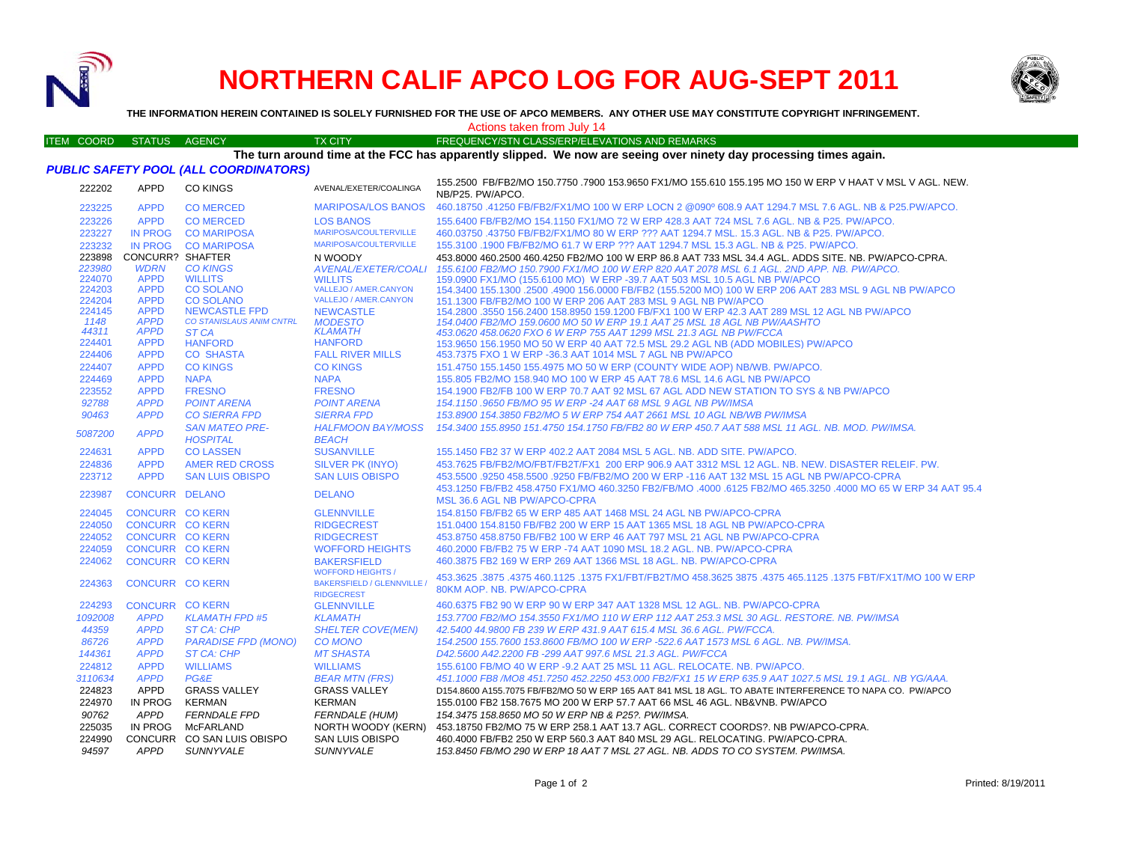

# **NORTHERN CALIF APCO LOG FOR AUG-SEPT 2011**



**THE INFORMATION HEREIN CONTAINED IS SOLELY FURNISHED FOR THE USE OF APCO MEMBERS. ANY OTHER USE MAY CONSTITUTE COPYRIGHT INFRINGEMENT.**

#### ITEM COORD STATUS AGENCY TX CITY FREQUENCY/STN CLASS/ERP/ELEVATIONS AND REMARKS Actions taken from July 14

## **The turn around time at the FCC has apparently slipped. We now are seeing over ninety day processing times again.**

|  |  | PUBLIC SAFETY POOL (ALL COORDINATORS) |  |
|--|--|---------------------------------------|--|
|  |  |                                       |  |

| 222202          | APPD                                             | CO KINGS                                 | AVENAL/EXETER/COALINGA                                        | 155.2500 FB/FB2/MO 150.7750 .7900 153.9650 FX1/MO 155.610 155.195 MO 150 W ERP V HAAT V MSL V AGL. NEW.<br>NB/P25. PW/APCO.                          |
|-----------------|--------------------------------------------------|------------------------------------------|---------------------------------------------------------------|------------------------------------------------------------------------------------------------------------------------------------------------------|
| 223225          | <b>APPD</b>                                      | <b>CO MERCED</b>                         | <b>MARIPOSA/LOS BANOS</b>                                     | 460.18750 .41250 FB/FB2/FX1/MO 100 W ERP LOCN 2 @090º 608.9 AAT 1294.7 MSL 7.6 AGL, NB & P25.PW/APCO.                                                |
| 223226          | <b>APPD</b>                                      | <b>CO MERCED</b>                         | <b>LOS BANOS</b>                                              | 155,6400 FB/FB2/MO 154,1150 FX1/MO 72 W ERP 428.3 AAT 724 MSL 7.6 AGL, NB & P25, PW/APCO,                                                            |
| 223227          |                                                  | IN PROG CO MARIPOSA                      | MARIPOSA/COULTERVILLE                                         | 460.03750 .43750 FB/FB2/FX1/MO 80 W ERP ??? AAT 1294.7 MSL. 15.3 AGL. NB & P25. PW/APCO.                                                             |
| 223232          |                                                  | IN PROG CO MARIPOSA                      | <b>MARIPOSA/COULTERVILLE</b>                                  | 155.3100 .1900 FB/FB2/MO 61.7 W ERP ??? AAT 1294.7 MSL 15.3 AGL. NB & P25. PW/APCO.                                                                  |
| 223898          | <b>CONCURR? SHAFTER</b>                          |                                          | N WOODY                                                       | 453.8000 460.2500 460.4250 FB2/MO 100 W ERP 86.8 AAT 733 MSL 34.4 AGL. ADDS SITE. NB. PW/APCO-CPRA.                                                  |
| 223980          | <b>WDRN</b>                                      | <b>CO KINGS</b>                          | AVENAL/EXETER/COALI                                           | 155.6100 FB2/MO 150.7900 FX1/MO 100 W ERP 820 AAT 2078 MSL 6.1 AGL. 2ND APP. NB. PW/APCO.                                                            |
| 224070          | <b>APPD</b>                                      | <b>WILLITS</b>                           | <b>WILLITS</b>                                                | 159.0900 FX1/MO (155.6100 MO) W ERP -39.7 AAT 503 MSL 10.5 AGL NB PW/APCO                                                                            |
| 224203          | <b>APPD</b>                                      | <b>CO SOLANO</b>                         | <b>VALLEJO / AMER.CANYON</b>                                  | 154.3400 155.1300 .2500 .4900 156.0000 FB/FB2 (155.5200 MO) 100 W ERP 206 AAT 283 MSL 9 AGL NB PW/APCO                                               |
| 224204          | <b>APPD</b>                                      | <b>CO SOLANO</b>                         | <b>VALLEJO / AMER.CANYON</b>                                  | 151.1300 FB/FB2/MO 100 W ERP 206 AAT 283 MSL 9 AGL NB PW/APCO                                                                                        |
| 224145          | <b>APPD</b>                                      | <b>NEWCASTLE FPD</b>                     | <b>NEWCASTLE</b>                                              | 154,2800 .3550 156,2400 158,8950 159,1200 FB/FX1 100 W ERP 42.3 AAT 289 MSL 12 AGL NB PW/APCO                                                        |
| 1148            | <b>APPD</b><br><b>APPD</b>                       | <b>CO STANISLAUS ANIM CNTRL</b>          | <b>MODESTO</b><br><b>KLAMATH</b>                              | 154.0400 FB2/MO 159.0600 MO 50 W ERP 19.1 AAT 25 MSL 18 AGL NB PW/AASHTO                                                                             |
| 44311<br>224401 | <b>APPD</b>                                      | ST CA<br><b>HANFORD</b>                  | <b>HANFORD</b>                                                | 453.0620 458.0620 FXO 6 W ERP 755 AAT 1299 MSL 21.3 AGL NB PW/FCCA                                                                                   |
| 224406          | <b>APPD</b>                                      | <b>CO SHASTA</b>                         | <b>FALL RIVER MILLS</b>                                       | 153.9650 156.1950 MO 50 W ERP 40 AAT 72.5 MSL 29.2 AGL NB (ADD MOBILES) PW/APCO<br>453.7375 FXO 1 W ERP -36.3 AAT 1014 MSL 7 AGL NB PW/APCO          |
| 224407          | <b>APPD</b>                                      | <b>CO KINGS</b>                          | <b>CO KINGS</b>                                               | 151.4750 155.1450 155.4975 MO 50 W ERP (COUNTY WIDE AOP) NB/WB. PW/APCO.                                                                             |
| 224469          | <b>APPD</b>                                      | <b>NAPA</b>                              | <b>NAPA</b>                                                   | 155,805 FB2/MO 158,940 MO 100 W ERP 45 AAT 78.6 MSL 14.6 AGL NB PW/APCO                                                                              |
| 223552          | <b>APPD</b>                                      | <b>FRESNO</b>                            | <b>FRESNO</b>                                                 |                                                                                                                                                      |
| 92788           | <b>APPD</b>                                      | <b>POINT ARENA</b>                       | <b>POINT ARENA</b>                                            | 154,1900 FB2/FB 100 W ERP 70.7 AAT 92 MSL 67 AGL ADD NEW STATION TO SYS & NB PW/APCO<br>154.1150.9650 FB/MO 95 W ERP -24 AAT 68 MSL 9 AGL NB PW/IMSA |
|                 | <b>APPD</b>                                      | <b>CO SIERRA FPD</b>                     | <b>SIERRA FPD</b>                                             |                                                                                                                                                      |
| 90463           |                                                  |                                          |                                                               | 153.8900 154.3850 FB2/MO 5 W ERP 754 AAT 2661 MSL 10 AGL NB/WB PW/IMSA                                                                               |
| 5087200         | <b>APPD</b>                                      | <b>SAN MATEO PRE-</b><br><b>HOSPITAL</b> | <b>HALFMOON BAY/MOSS</b><br><b>BEACH</b>                      | 154.3400 155.8950 151.4750 154.1750 FB/FB2 80 W ERP 450.7 AAT 588 MSL 11 AGL. NB. MOD. PW/IMSA.                                                      |
| 224631          | <b>APPD</b>                                      | <b>CO LASSEN</b>                         | <b>SUSANVILLE</b>                                             |                                                                                                                                                      |
| 224836          | <b>APPD</b>                                      |                                          |                                                               | 155.1450 FB2 37 W ERP 402.2 AAT 2084 MSL 5 AGL, NB, ADD SITE, PW/APCO.                                                                               |
|                 | <b>APPD</b>                                      | AMER RED CROSS                           | SILVER PK (INYO)                                              | 453.7625 FB/FB2/MO/FBT/FB2T/FX1 200 ERP 906.9 AAT 3312 MSL 12 AGL. NB. NEW. DISASTER RELEIF. PW.                                                     |
| 223712          |                                                  | <b>SAN LUIS OBISPO</b>                   | <b>SAN LUIS OBISPO</b>                                        | 453,5500 .9250 458,5500 .9250 FB/FB2/MO 200 W ERP -116 AAT 132 MSL 15 AGL NB PW/APCO-CPRA                                                            |
| 223987          | CONCURR DELANO                                   |                                          | <b>DELANO</b>                                                 | 453.1250 FB/FB2 458.4750 FX1/MO 460.3250 FB2/FB/MO .4000 .6125 FB2/MO 465.3250 .4000 MO 65 W ERP 34 AAT 95.4                                         |
|                 |                                                  |                                          |                                                               | MSL 36.6 AGL NB PW/APCO-CPRA                                                                                                                         |
| 224045          | <b>CONCURR CO KERN</b>                           |                                          | <b>GLENNVILLE</b>                                             | 154,8150 FB/FB2 65 W ERP 485 AAT 1468 MSL 24 AGL NB PW/APCO-CPRA                                                                                     |
| 224050          | <b>CONCURR CO KERN</b><br><b>CONCURR CO KERN</b> |                                          | <b>RIDGECREST</b>                                             | 151,0400 154,8150 FB/FB2 200 W ERP 15 AAT 1365 MSL 18 AGL NB PW/APCO-CPRA                                                                            |
| 224052          |                                                  |                                          | <b>RIDGECREST</b>                                             | 453.8750 458.8750 FB/FB2 100 W ERP 46 AAT 797 MSL 21 AGL NB PW/APCO-CPRA                                                                             |
| 224059          | <b>CONCURR CO KERN</b>                           |                                          | <b>WOFFORD HEIGHTS</b>                                        | 460,2000 FB/FB2 75 W ERP -74 AAT 1090 MSL 18.2 AGL, NB, PW/APCO-CPRA                                                                                 |
| 224062          | <b>CONCURR CO KERN</b>                           |                                          | <b>BAKERSFIELD</b>                                            | 460.3875 FB2 169 W ERP 269 AAT 1366 MSL 18 AGL, NB, PW/APCO-CPRA                                                                                     |
| 224363          | <b>CONCURR CO KERN</b>                           |                                          | <b>WOFFORD HEIGHTS /</b><br><b>BAKERSFIELD / GLENNVILLE /</b> | 453.3625 .3875 .4375 460.1125 .1375 FX1/FBT/FB2T/MO 458.3625 3875 .4375 465.1125 .1375 FBT/FX1T/MO 100 W ERP                                         |
|                 |                                                  |                                          | <b>RIDGECREST</b>                                             | 80KM AOP. NB. PW/APCO-CPRA                                                                                                                           |
| 224293          | <b>CONCURR CO KERN</b>                           |                                          | <b>GLENNVILLE</b>                                             | 460.6375 FB2 90 W ERP 90 W ERP 347 AAT 1328 MSL 12 AGL, NB, PW/APCO-CPRA                                                                             |
| 1092008         | <b>APPD</b>                                      | <b>KLAMATH FPD #5</b>                    | <b>KLAMATH</b>                                                | 153.7700 FB2/MO 154.3550 FX1/MO 110 W ERP 112 AAT 253.3 MSL 30 AGL. RESTORE. NB. PW/IMSA                                                             |
| 44359           | <b>APPD</b>                                      | <b>ST CA: CHP</b>                        | <b>SHELTER COVE(MEN)</b>                                      | 42.5400 44.9800 FB 239 W ERP 431.9 AAT 615.4 MSL 36.6 AGL, PW/FCCA.                                                                                  |
| 86726           | <b>APPD</b>                                      | <b>PARADISE FPD (MONO)</b>               | <b>CO MONO</b>                                                | 154,2500 155,7600 153,8600 FB/MO 100 W ERP -522.6 AAT 1573 MSL 6 AGL, NB, PW/IMSA,                                                                   |
| 144361          | <b>APPD</b>                                      | <b>ST CA: CHP</b>                        | <b>MT SHASTA</b>                                              | D42.5600 A42.2200 FB -299 AAT 997.6 MSL 21.3 AGL, PW/FCCA                                                                                            |
| 224812          | <b>APPD</b>                                      | <b>WILLIAMS</b>                          | <b>WILLIAMS</b>                                               | 155.6100 FB/MO 40 W ERP -9.2 AAT 25 MSL 11 AGL, RELOCATE, NB, PW/APCO,                                                                               |
| 3110634         | <b>APPD</b>                                      | <b>PG&amp;E</b>                          | <b>BEAR MTN (FRS)</b>                                         | 451.1000 FB8 /MO8 451.7250 452.2250 453.000 FB2/FX1 15 W ERP 635.9 AAT 1027.5 MSL 19.1 AGL. NB YG/AAA.                                               |
| 224823          | <b>APPD</b>                                      | <b>GRASS VALLEY</b>                      | <b>GRASS VALLEY</b>                                           | D154.8600 A155.7075 FB/FB2/MO 50 W ERP 165 AAT 841 MSL 18 AGL. TO ABATE INTERFERENCE TO NAPA CO. PW/APCO                                             |
| 224970          | IN PROG                                          | <b>KERMAN</b>                            | <b>KERMAN</b>                                                 | 155.0100 FB2 158.7675 MO 200 W ERP 57.7 AAT 66 MSL 46 AGL. NB&VNB. PW/APCO                                                                           |
| 90762           | APPD                                             | <b>FERNDALE FPD</b>                      | <b>FERNDALE (HUM)</b>                                         | 154.3475 158.8650 MO 50 W ERP NB & P25?. PW/IMSA.                                                                                                    |
| 225035          | IN PROG                                          | <b>McFARLAND</b>                         | NORTH WOODY (KERN)                                            | 453.18750 FB2/MO 75 W ERP 258.1 AAT 13.7 AGL. CORRECT COORDS?. NB PW/APCO-CPRA.                                                                      |
| 224990          |                                                  | CONCURR CO SAN LUIS OBISPO               | SAN LUIS OBISPO                                               | 460.4000 FB/FB2 250 W ERP 560.3 AAT 840 MSL 29 AGL. RELOCATING. PW/APCO-CPRA.                                                                        |
| 94597           | APPD                                             | <b>SUNNYVALE</b>                         | <b>SUNNYVALE</b>                                              | 153.8450 FB/MO 290 W ERP 18 AAT 7 MSL 27 AGL. NB. ADDS TO CO SYSTEM. PW/IMSA.                                                                        |